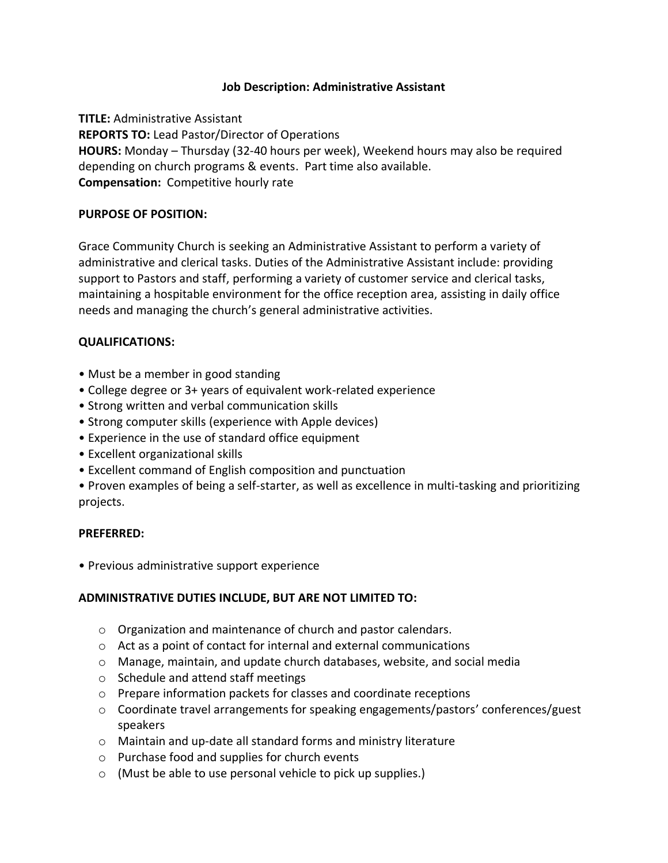### **Job Description: Administrative Assistant**

**TITLE:** Administrative Assistant **REPORTS TO:** Lead Pastor/Director of Operations **HOURS:** Monday – Thursday (32-40 hours per week), Weekend hours may also be required depending on church programs & events. Part time also available. **Compensation:** Competitive hourly rate

### **PURPOSE OF POSITION:**

Grace Community Church is seeking an Administrative Assistant to perform a variety of administrative and clerical tasks. Duties of the Administrative Assistant include: providing support to Pastors and staff, performing a variety of customer service and clerical tasks, maintaining a hospitable environment for the office reception area, assisting in daily office needs and managing the church's general administrative activities.

# **QUALIFICATIONS:**

- Must be a member in good standing
- College degree or 3+ years of equivalent work-related experience
- Strong written and verbal communication skills
- Strong computer skills (experience with Apple devices)
- Experience in the use of standard office equipment
- Excellent organizational skills
- Excellent command of English composition and punctuation

• Proven examples of being a self-starter, as well as excellence in multi-tasking and prioritizing projects.

# **PREFERRED:**

• Previous administrative support experience

### **ADMINISTRATIVE DUTIES INCLUDE, BUT ARE NOT LIMITED TO:**

- o Organization and maintenance of church and pastor calendars.
- o Act as a point of contact for internal and external communications
- o Manage, maintain, and update church databases, website, and social media
- o Schedule and attend staff meetings
- o Prepare information packets for classes and coordinate receptions
- $\circ$  Coordinate travel arrangements for speaking engagements/pastors' conferences/guest speakers
- o Maintain and up-date all standard forms and ministry literature
- o Purchase food and supplies for church events
- o (Must be able to use personal vehicle to pick up supplies.)